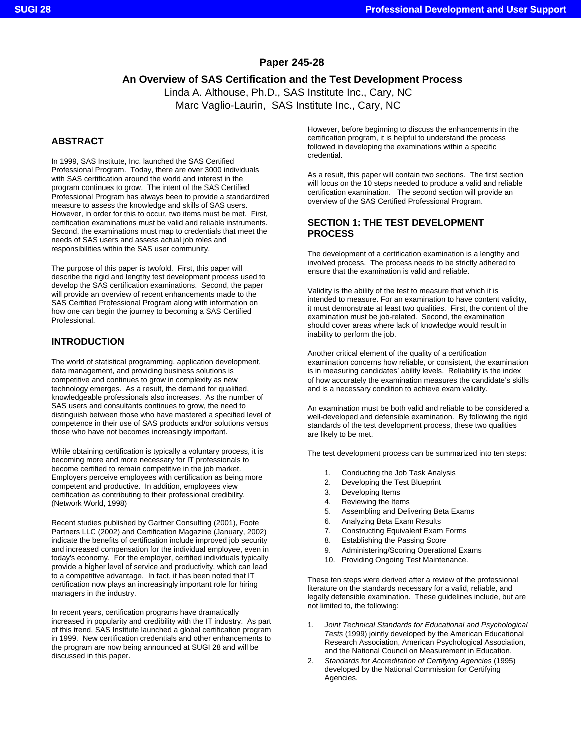# **Paper 245-28**

# **An Overview of SAS Certification and the Test Development Process**

Linda A. Althouse, Ph.D., SAS Institute Inc., Cary, NC Marc Vaglio-Laurin, SAS Institute Inc., Cary, NC

# **ABSTRACT**

In 1999, SAS Institute, Inc. launched the SAS Certified Professional Program. Today, there are over 3000 individuals with SAS certification around the world and interest in the program continues to grow. The intent of the SAS Certified Professional Program has always been to provide a standardized measure to assess the knowledge and skills of SAS users. However, in order for this to occur, two items must be met. First, certification examinations must be valid and reliable instruments. Second, the examinations must map to credentials that meet the needs of SAS users and assess actual job roles and responsibilities within the SAS user community.

The purpose of this paper is twofold. First, this paper will describe the rigid and lengthy test development process used to develop the SAS certification examinations. Second, the paper will provide an overview of recent enhancements made to the SAS Certified Professional Program along with information on how one can begin the journey to becoming a SAS Certified Professional.

# **INTRODUCTION**

The world of statistical programming, application development, data management, and providing business solutions is competitive and continues to grow in complexity as new technology emerges. As a result, the demand for qualified, knowledgeable professionals also increases. As the number of SAS users and consultants continues to grow, the need to distinguish between those who have mastered a specified level of competence in their use of SAS products and/or solutions versus those who have not becomes increasingly important.

While obtaining certification is typically a voluntary process, it is becoming more and more necessary for IT professionals to become certified to remain competitive in the job market. Employers perceive employees with certification as being more competent and productive. In addition, employees view certification as contributing to their professional credibility. (Network World, 1998)

Recent studies published by Gartner Consulting (2001), Foote Partners LLC (2002) and Certification Magazine (January, 2002) indicate the benefits of certification include improved job security and increased compensation for the individual employee, even in today's economy. For the employer, certified individuals typically provide a higher level of service and productivity, which can lead to a competitive advantage. In fact, it has been noted that IT certification now plays an increasingly important role for hiring managers in the industry.

In recent years, certification programs have dramatically increased in popularity and credibility with the IT industry. As part of this trend, SAS Institute launched a global certification program in 1999. New certification credentials and other enhancements to the program are now being announced at SUGI 28 and will be discussed in this paper.

However, before beginning to discuss the enhancements in the certification program, it is helpful to understand the process followed in developing the examinations within a specific credential.

As a result, this paper will contain two sections. The first section will focus on the 10 steps needed to produce a valid and reliable certification examination. The second section will provide an overview of the SAS Certified Professional Program.

# **SECTION 1: THE TEST DEVELOPMENT PROCESS**

The development of a certification examination is a lengthy and involved process. The process needs to be strictly adhered to ensure that the examination is valid and reliable.

Validity is the ability of the test to measure that which it is intended to measure. For an examination to have content validity, it must demonstrate at least two qualities. First, the content of the examination must be job-related. Second, the examination should cover areas where lack of knowledge would result in inability to perform the job.

Another critical element of the quality of a certification examination concerns how reliable, or consistent, the examination is in measuring candidates' ability levels. Reliability is the index of how accurately the examination measures the candidate's skills and is a necessary condition to achieve exam validity.

An examination must be both valid and reliable to be considered a well-developed and defensible examination. By following the rigid standards of the test development process, these two qualities are likely to be met.

The test development process can be summarized into ten steps:

- 1. Conducting the Job Task Analysis
- 2. Developing the Test Blueprint
- 3. Developing Items
- 4. Reviewing the Items
- 5. Assembling and Delivering Beta Exams
- 6. Analyzing Beta Exam Results
- 7. Constructing Equivalent Exam Forms
- 8. Establishing the Passing Score
- 9. Administering/Scoring Operational Exams
- 10. Providing Ongoing Test Maintenance.

These ten steps were derived after a review of the professional literature on the standards necessary for a valid, reliable, and legally defensible examination. These guidelines include, but are not limited to, the following:

- 1. *Joint Technical Standards for Educational and Psychological Tests* (1999) jointly developed by the American Educational Research Association, American Psychological Association, and the National Council on Measurement in Education.
- 2. *Standards for Accreditation of Certifying Agencies* (1995) developed by the National Commission for Certifying Agencies.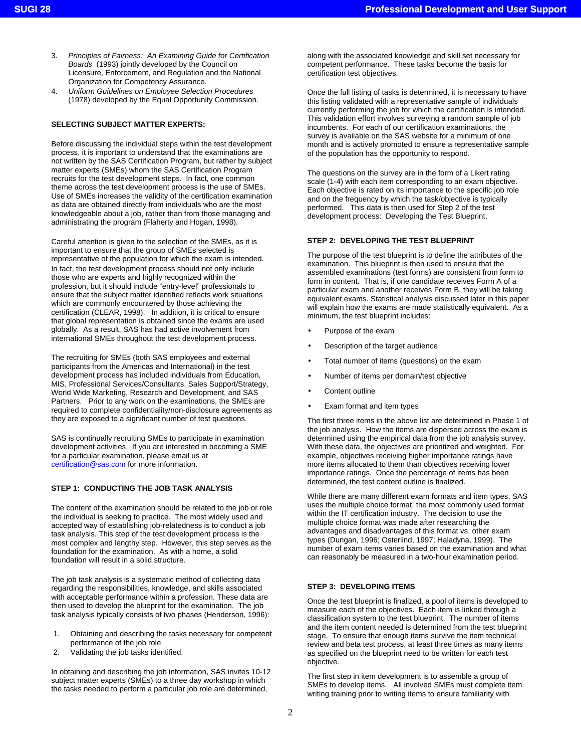- 3. *Principles of Fairness: An Examining Guide for Certification Boards* (1993) jointly developed by the Council on Licensure, Enforcement, and Regulation and the National Organization for Competency Assurance.
- 4. *Uniform Guidelines on Employee Selection Procedures*  (1978) developed by the Equal Opportunity Commission.

# **SELECTING SUBJECT MATTER EXPERTS:**

Before discussing the individual steps within the test development process, it is important to understand that the examinations are not written by the SAS Certification Program, but rather by subject matter experts (SMEs) whom the SAS Certification Program recruits for the test development steps. In fact, one common theme across the test development process is the use of SMEs. Use of SMEs increases the validity of the certification examination as data are obtained directly from individuals who are the most knowledgeable about a job, rather than from those managing and administrating the program (Flaherty and Hogan, 1998).

Careful attention is given to the selection of the SMEs, as it is important to ensure that the group of SMEs selected is representative of the population for which the exam is intended. In fact, the test development process should not only include those who are experts and highly recognized within the profession, but it should include "entry-level" professionals to ensure that the subject matter identified reflects work situations which are commonly encountered by those achieving the certification (CLEAR, 1998). In addition, it is critical to ensure that global representation is obtained since the exams are used globally. As a result, SAS has had active involvement from international SMEs throughout the test development process.

The recruiting for SMEs (both SAS employees and external participants from the Americas and International) in the test development process has included individuals from Education, MIS, Professional Services/Consultants, Sales Support/Strategy, World Wide Marketing, Research and Development, and SAS Partners. Prior to any work on the examinations, the SMEs are required to complete confidentiality/non-disclosure agreements as they are exposed to a significant number of test questions.

SAS is continually recruiting SMEs to participate in examination development activities. If you are interested in becoming a SME for a particular examination, please email us at certification@sas.com for more information.

#### **STEP 1: CONDUCTING THE JOB TASK ANALYSIS**

The content of the examination should be related to the job or role the individual is seeking to practice. The most widely used and accepted way of establishing job-relatedness is to conduct a job task analysis. This step of the test development process is the most complex and lengthy step. However, this step serves as the foundation for the examination. As with a home, a solid foundation will result in a solid structure.

The job task analysis is a systematic method of collecting data regarding the responsibilities, knowledge, and skills associated with acceptable performance within a profession. These data are then used to develop the blueprint for the examination. The job task analysis typically consists of two phases (Henderson, 1996):

- 1. Obtaining and describing the tasks necessary for competent performance of the job role
- 2. Validating the job tasks identified.

In obtaining and describing the job information, SAS invites 10-12 subject matter experts (SMEs) to a three day workshop in which the tasks needed to perform a particular job role are determined,

along with the associated knowledge and skill set necessary for competent performance. These tasks become the basis for certification test objectives.

Once the full listing of tasks is determined, it is necessary to have this listing validated with a representative sample of individuals currently performing the job for which the certification is intended. This validation effort involves surveying a random sample of job incumbents. For each of our certification examinations, the survey is available on the SAS website for a minimum of one month and is actively promoted to ensure a representative sample of the population has the opportunity to respond.

The questions on the survey are in the form of a Likert rating scale (1-4) with each item corresponding to an exam objective. Each objective is rated on its importance to the specific job role and on the frequency by which the task/objective is typically performed. This data is then used for Step 2 of the test development process: Developing the Test Blueprint.

### **STEP 2: DEVELOPING THE TEST BLUEPRINT**

The purpose of the test blueprint is to define the attributes of the examination. This blueprint is then used to ensure that the assembled examinations (test forms) are consistent from form to form in content. That is, if one candidate receives Form A of a particular exam and another receives Form B, they will be taking equivalent exams. Statistical analysis discussed later in this paper will explain how the exams are made statistically equivalent. As a minimum, the test blueprint includes:

- Purpose of the exam
- Description of the target audience
- Total number of items (questions) on the exam
- Number of items per domain/test objective
- Content outline
- Exam format and item types

The first three items in the above list are determined in Phase 1 of the job analysis. How the items are dispersed across the exam is determined using the empirical data from the job analysis survey. With these data, the objectives are prioritized and weighted. For example, objectives receiving higher importance ratings have more items allocated to them than objectives receiving lower importance ratings. Once the percentage of items has been determined, the test content outline is finalized.

While there are many different exam formats and item types, SAS uses the multiple choice format, the most commonly used format within the IT certification industry. The decision to use the multiple choice format was made after researching the advantages and disadvantages of this format vs. other exam types (Dungan, 1996; Osterlind, 1997; Haladyna, 1999). The number of exam items varies based on the examination and what can reasonably be measured in a two-hour examination period.

### **STEP 3: DEVELOPING ITEMS**

Once the test blueprint is finalized, a pool of items is developed to measure each of the objectives. Each item is linked through a classification system to the test blueprint. The number of items and the item content needed is determined from the test blueprint stage. To ensure that enough items survive the item technical review and beta test process, at least three times as many items as specified on the blueprint need to be written for each test objective.

The first step in item development is to assemble a group of SMEs to develop items. All involved SMEs must complete item writing training prior to writing items to ensure familiarity with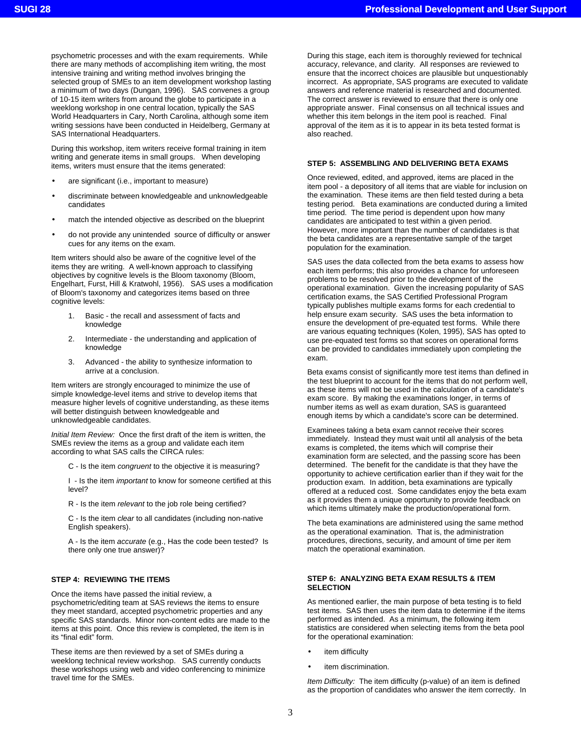psychometric processes and with the exam requirements. While there are many methods of accomplishing item writing, the most intensive training and writing method involves bringing the selected group of SMEs to an item development workshop lasting a minimum of two days (Dungan, 1996). SAS convenes a group of 10-15 item writers from around the globe to participate in a weeklong workshop in one central location, typically the SAS World Headquarters in Cary, North Carolina, although some item writing sessions have been conducted in Heidelberg, Germany at SAS International Headquarters.

During this workshop, item writers receive formal training in item writing and generate items in small groups. When developing items, writers must ensure that the items generated:

- are significant (i.e., important to measure)
- discriminate between knowledgeable and unknowledgeable candidates
- match the intended objective as described on the blueprint
- do not provide any unintended source of difficulty or answer cues for any items on the exam.

Item writers should also be aware of the cognitive level of the items they are writing. A well-known approach to classifying objectives by cognitive levels is the Bloom taxonomy (Bloom, Engelhart, Furst, Hill & Kratwohl, 1956). SAS uses a modification of Bloom's taxonomy and categorizes items based on three cognitive levels:

- 1. Basic the recall and assessment of facts and knowledge
- 2. Intermediate the understanding and application of knowledge
- 3. Advanced the ability to synthesize information to arrive at a conclusion.

Item writers are strongly encouraged to minimize the use of simple knowledge-level items and strive to develop items that measure higher levels of cognitive understanding, as these items will better distinguish between knowledgeable and unknowledgeable candidates.

*Initial Item Review:* Once the first draft of the item is written, the SMEs review the items as a group and validate each item according to what SAS calls the CIRCA rules:

C - Is the item *congruent* to the objective it is measuring?

I - Is the item *important* to know for someone certified at this level?

R - Is the item *relevant* to the job role being certified?

C - Is the item *clear* to all candidates (including non-native English speakers).

A - Is the item *accurate* (e.g., Has the code been tested? Is there only one true answer)?

# **STEP 4: REVIEWING THE ITEMS**

Once the items have passed the initial review, a psychometric/editing team at SAS reviews the items to ensure they meet standard, accepted psychometric properties and any specific SAS standards. Minor non-content edits are made to the items at this point. Once this review is completed, the item is in its "final edit" form.

These items are then reviewed by a set of SMEs during a weeklong technical review workshop. SAS currently conducts these workshops using web and video conferencing to minimize travel time for the SMEs.

During this stage, each item is thoroughly reviewed for technical accuracy, relevance, and clarity. All responses are reviewed to ensure that the incorrect choices are plausible but unquestionably incorrect. As appropriate, SAS programs are executed to validate answers and reference material is researched and documented. The correct answer is reviewed to ensure that there is only one appropriate answer. Final consensus on all technical issues and whether this item belongs in the item pool is reached. Final approval of the item as it is to appear in its beta tested format is also reached.

## **STEP 5: ASSEMBLING AND DELIVERING BETA EXAMS**

Once reviewed, edited, and approved, items are placed in the item pool - a depository of all items that are viable for inclusion on the examination. These items are then field tested during a beta testing period. Beta examinations are conducted during a limited time period. The time period is dependent upon how many candidates are anticipated to test within a given period. However, more important than the number of candidates is that the beta candidates are a representative sample of the target population for the examination.

SAS uses the data collected from the beta exams to assess how each item performs; this also provides a chance for unforeseen problems to be resolved prior to the development of the operational examination. Given the increasing popularity of SAS certification exams, the SAS Certified Professional Program typically publishes multiple exams forms for each credential to help ensure exam security. SAS uses the beta information to ensure the development of pre-equated test forms. While there are various equating techniques (Kolen, 1995), SAS has opted to use pre-equated test forms so that scores on operational forms can be provided to candidates immediately upon completing the exam.

Beta exams consist of significantly more test items than defined in the test blueprint to account for the items that do not perform well, as these items will not be used in the calculation of a candidate's exam score. By making the examinations longer, in terms of number items as well as exam duration, SAS is guaranteed enough items by which a candidate's score can be determined.

Examinees taking a beta exam cannot receive their scores immediately. Instead they must wait until all analysis of the beta exams is completed, the items which will comprise their examination form are selected, and the passing score has been determined. The benefit for the candidate is that they have the opportunity to achieve certification earlier than if they wait for the production exam. In addition, beta examinations are typically offered at a reduced cost. Some candidates enjoy the beta exam as it provides them a unique opportunity to provide feedback on which items ultimately make the production/operational form.

The beta examinations are administered using the same method as the operational examination. That is, the administration procedures, directions, security, and amount of time per item match the operational examination.

## **STEP 6: ANALYZING BETA EXAM RESULTS & ITEM SELECTION**

As mentioned earlier, the main purpose of beta testing is to field test items. SAS then uses the item data to determine if the items performed as intended. As a minimum, the following item statistics are considered when selecting items from the beta pool for the operational examination:

- item difficulty
- item discrimination.

*Item Difficulty:* The item difficulty (p-value) of an item is defined as the proportion of candidates who answer the item correctly. In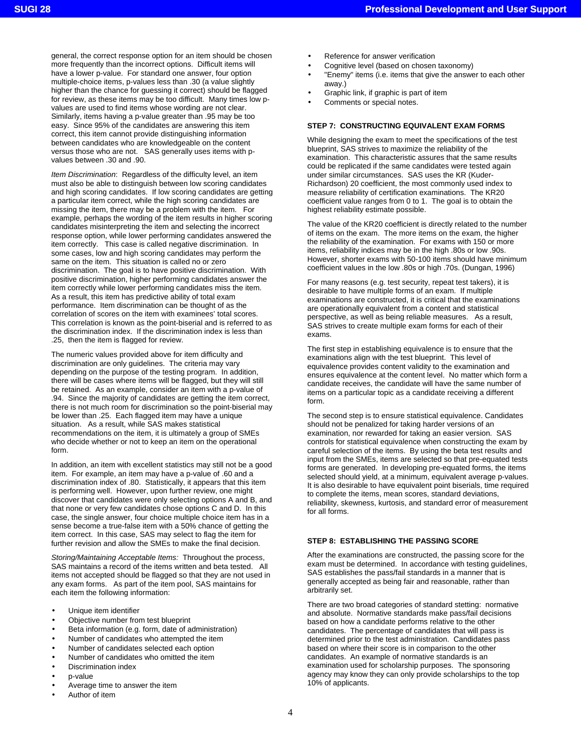general, the correct response option for an item should be chosen more frequently than the incorrect options. Difficult items will have a lower p-value. For standard one answer, four option multiple-choice items, p-values less than .30 (a value slightly higher than the chance for guessing it correct) should be flagged for review, as these items may be too difficult. Many times low pvalues are used to find items whose wording are not clear. Similarly, items having a p-value greater than .95 may be too easy. Since 95% of the candidates are answering this item correct, this item cannot provide distinguishing information between candidates who are knowledgeable on the content versus those who are not. SAS generally uses items with pvalues between .30 and .90.

*Item Discrimination*: Regardless of the difficulty level, an item must also be able to distinguish between low scoring candidates and high scoring candidates. If low scoring candidates are getting a particular item correct, while the high scoring candidates are missing the item, there may be a problem with the item. For example, perhaps the wording of the item results in higher scoring candidates misinterpreting the item and selecting the incorrect response option, while lower performing candidates answered the item correctly. This case is called negative discrimination. In some cases, low and high scoring candidates may perform the same on the item. This situation is called no or zero discrimination. The goal is to have positive discrimination. With positive discrimination, higher performing candidates answer the item correctly while lower performing candidates miss the item. As a result, this item has predictive ability of total exam performance. Item discrimination can be thought of as the correlation of scores on the item with examinees' total scores. This correlation is known as the point-biserial and is referred to as the discrimination index. If the discrimination index is less than .25, then the item is flagged for review.

The numeric values provided above for item difficulty and discrimination are only guidelines. The criteria may vary depending on the purpose of the testing program. In addition, there will be cases where items will be flagged, but they will still be retained. As an example, consider an item with a p-value of .94. Since the majority of candidates are getting the item correct, there is not much room for discrimination so the point-biserial may be lower than .25. Each flagged item may have a unique situation. As a result, while SAS makes statistical recommendations on the item, it is ultimately a group of SMEs who decide whether or not to keep an item on the operational form.

In addition, an item with excellent statistics may still not be a good item. For example, an item may have a p-value of .60 and a discrimination index of .80. Statistically, it appears that this item is performing well. However, upon further review, one might discover that candidates were only selecting options A and B, and that none or very few candidates chose options C and D. In this case, the single answer, four choice multiple choice item has in a sense become a true-false item with a 50% chance of getting the item correct. In this case, SAS may select to flag the item for further revision and allow the SMEs to make the final decision.

*Storing/Maintaining Acceptable Items:* Throughout the process, SAS maintains a record of the items written and beta tested. All items not accepted should be flagged so that they are not used in any exam forms. As part of the item pool, SAS maintains for each item the following information:

- Unique item identifier
- Objective number from test blueprint
- Beta information (e.g. form, date of administration)
- Number of candidates who attempted the item
- Number of candidates selected each option
- Number of candidates who omitted the item
- Discrimination index
- p-value
- Average time to answer the item
- Author of item
- Reference for answer verification
- Cognitive level (based on chosen taxonomy)
- "Enemy" items (i.e. items that give the answer to each other away.)
- Graphic link, if graphic is part of item
- Comments or special notes.

### **STEP 7: CONSTRUCTING EQUIVALENT EXAM FORMS**

While designing the exam to meet the specifications of the test blueprint, SAS strives to maximize the reliability of the examination. This characteristic assures that the same results could be replicated if the same candidates were tested again under similar circumstances. SAS uses the KR (Kuder-Richardson) 20 coefficient, the most commonly used index to measure reliability of certification examinations. The KR20 coefficient value ranges from 0 to 1. The goal is to obtain the highest reliability estimate possible.

The value of the KR20 coefficient is directly related to the number of items on the exam. The more items on the exam, the higher the reliability of the examination. For exams with 150 or more items, reliability indices may be in the high .80s or low .90s. However, shorter exams with 50-100 items should have minimum coefficient values in the low .80s or high .70s. (Dungan, 1996)

For many reasons (e.g. test security, repeat test takers), it is desirable to have multiple forms of an exam. If multiple examinations are constructed, it is critical that the examinations are operationally equivalent from a content and statistical perspective, as well as being reliable measures. As a result, SAS strives to create multiple exam forms for each of their exams.

The first step in establishing equivalence is to ensure that the examinations align with the test blueprint. This level of equivalence provides content validity to the examination and ensures equivalence at the content level. No matter which form a candidate receives, the candidate will have the same number of items on a particular topic as a candidate receiving a different form.

The second step is to ensure statistical equivalence. Candidates should not be penalized for taking harder versions of an examination, nor rewarded for taking an easier version. SAS controls for statistical equivalence when constructing the exam by careful selection of the items. By using the beta test results and input from the SMEs, items are selected so that pre-equated tests forms are generated. In developing pre-equated forms, the items selected should yield, at a minimum, equivalent average p-values. It is also desirable to have equivalent point biserials, time required to complete the items, mean scores, standard deviations, reliability, skewness, kurtosis, and standard error of measurement for all forms.

#### **STEP 8: ESTABLISHING THE PASSING SCORE**

After the examinations are constructed, the passing score for the exam must be determined. In accordance with testing guidelines, SAS establishes the pass/fail standards in a manner that is generally accepted as being fair and reasonable, rather than arbitrarily set.

There are two broad categories of standard stetting: normative and absolute. Normative standards make pass/fail decisions based on how a candidate performs relative to the other candidates. The percentage of candidates that will pass is determined prior to the test administration. Candidates pass based on where their score is in comparison to the other candidates. An example of normative standards is an examination used for scholarship purposes. The sponsoring agency may know they can only provide scholarships to the top 10% of applicants.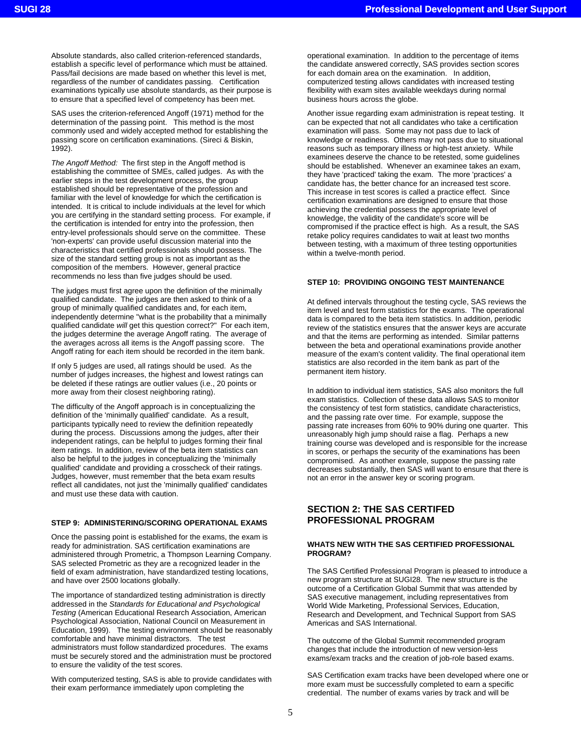Absolute standards, also called criterion-referenced standards, establish a specific level of performance which must be attained. Pass/fail decisions are made based on whether this level is met, regardless of the number of candidates passing. Certification examinations typically use absolute standards, as their purpose is to ensure that a specified level of competency has been met.

SAS uses the criterion-referenced Angoff (1971) method for the determination of the passing point. This method is the most commonly used and widely accepted method for establishing the passing score on certification examinations. (Sireci & Biskin, 1992).

*The Angoff Method:* The first step in the Angoff method is establishing the committee of SMEs, called judges. As with the earlier steps in the test development process, the group established should be representative of the profession and familiar with the level of knowledge for which the certification is intended. It is critical to include individuals at the level for which you are certifying in the standard setting process. For example, if the certification is intended for entry into the profession, then entry-level professionals should serve on the committee. These 'non-experts' can provide useful discussion material into the characteristics that certified professionals should possess. The size of the standard setting group is not as important as the composition of the members. However, general practice recommends no less than five judges should be used.

The judges must first agree upon the definition of the minimally qualified candidate. The judges are then asked to think of a group of minimally qualified candidates and, for each item, independently determine "what is the probability that a minimally qualified candidate *will* get this question correct?" For each item, the judges determine the average Angoff rating. The average of the averages across all items is the Angoff passing score. The Angoff rating for each item should be recorded in the item bank.

If only 5 judges are used, all ratings should be used. As the number of judges increases, the highest and lowest ratings can be deleted if these ratings are outlier values (i.e., 20 points or more away from their closest neighboring rating).

The difficulty of the Angoff approach is in conceptualizing the definition of the 'minimally qualified' candidate. As a result, participants typically need to review the definition repeatedly during the process. Discussions among the judges, after their independent ratings, can be helpful to judges forming their final item ratings. In addition, review of the beta item statistics can also be helpful to the judges in conceptualizing the 'minimally qualified' candidate and providing a crosscheck of their ratings. Judges, however, must remember that the beta exam results reflect all candidates, not just the 'minimally qualified' candidates and must use these data with caution.

## **STEP 9: ADMINISTERING/SCORING OPERATIONAL EXAMS**

Once the passing point is established for the exams, the exam is ready for administration. SAS certification examinations are administered through Prometric, a Thompson Learning Company. SAS selected Prometric as they are a recognized leader in the field of exam administration, have standardized testing locations, and have over 2500 locations globally.

The importance of standardized testing administration is directly addressed in the *Standards for Educational and Psychological Testing* (American Educational Research Association, American Psychological Association, National Council on Measurement in Education, 1999). The testing environment should be reasonably comfortable and have minimal distractors. The test administrators must follow standardized procedures. The exams must be securely stored and the administration must be proctored to ensure the validity of the test scores.

With computerized testing, SAS is able to provide candidates with their exam performance immediately upon completing the

operational examination. In addition to the percentage of items the candidate answered correctly, SAS provides section scores for each domain area on the examination. In addition, computerized testing allows candidates with increased testing flexibility with exam sites available weekdays during normal business hours across the globe.

Another issue regarding exam administration is repeat testing. It can be expected that not all candidates who take a certification examination will pass. Some may not pass due to lack of knowledge or readiness. Others may not pass due to situational reasons such as temporary illness or high-test anxiety. While examinees deserve the chance to be retested, some guidelines should be established. Whenever an examinee takes an exam, they have 'practiced' taking the exam. The more 'practices' a candidate has, the better chance for an increased test score. This increase in test scores is called a practice effect. Since certification examinations are designed to ensure that those achieving the credential possess the appropriate level of knowledge, the validity of the candidate's score will be compromised if the practice effect is high. As a result, the SAS retake policy requires candidates to wait at least two months between testing, with a maximum of three testing opportunities within a twelve-month period.

## **STEP 10: PROVIDING ONGOING TEST MAINTENANCE**

At defined intervals throughout the testing cycle, SAS reviews the item level and test form statistics for the exams. The operational data is compared to the beta item statistics. In addition, periodic review of the statistics ensures that the answer keys are accurate and that the items are performing as intended. Similar patterns between the beta and operational examinations provide another measure of the exam's content validity. The final operational item statistics are also recorded in the item bank as part of the permanent item history.

In addition to individual item statistics, SAS also monitors the full exam statistics. Collection of these data allows SAS to monitor the consistency of test form statistics, candidate characteristics, and the passing rate over time. For example, suppose the passing rate increases from 60% to 90% during one quarter. This unreasonably high jump should raise a flag. Perhaps a new training course was developed and is responsible for the increase in scores, or perhaps the security of the examinations has been compromised. As another example, suppose the passing rate decreases substantially, then SAS will want to ensure that there is not an error in the answer key or scoring program.

# **SECTION 2: THE SAS CERTIFED PROFESSIONAL PROGRAM**

#### **WHATS NEW WITH THE SAS CERTIFIED PROFESSIONAL PROGRAM?**

The SAS Certified Professional Program is pleased to introduce a new program structure at SUGI28. The new structure is the outcome of a Certification Global Summit that was attended by SAS executive management, including representatives from World Wide Marketing, Professional Services, Education, Research and Development, and Technical Support from SAS Americas and SAS International.

The outcome of the Global Summit recommended program changes that include the introduction of new version-less exams/exam tracks and the creation of job-role based exams.

SAS Certification exam tracks have been developed where one or more exam must be successfully completed to earn a specific credential. The number of exams varies by track and will be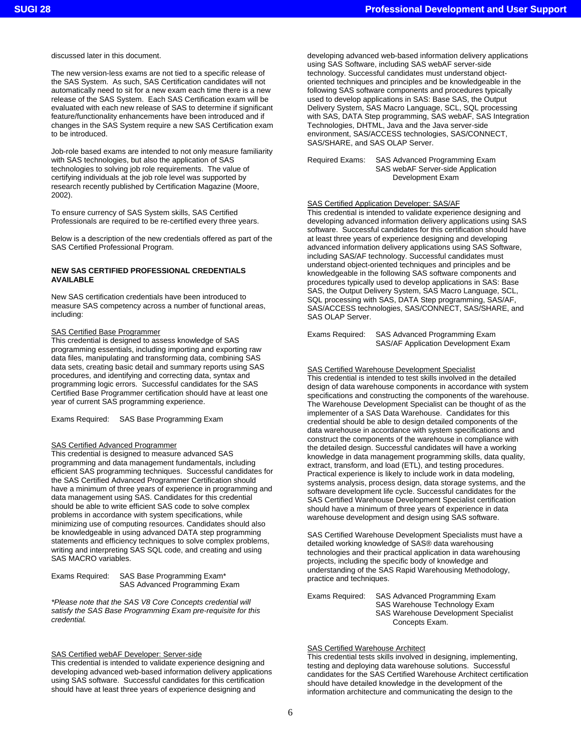discussed later in this document.

The new version-less exams are not tied to a specific release of the SAS System. As such, SAS Certification candidates will not automatically need to sit for a new exam each time there is a new release of the SAS System. Each SAS Certification exam will be evaluated with each new release of SAS to determine if significant feature/functionality enhancements have been introduced and if changes in the SAS System require a new SAS Certification exam to be introduced.

Job-role based exams are intended to not only measure familiarity with SAS technologies, but also the application of SAS technologies to solving job role requirements. The value of certifying individuals at the job role level was supported by research recently published by Certification Magazine (Moore, 2002).

To ensure currency of SAS System skills, SAS Certified Professionals are required to be re-certified every three years.

Below is a description of the new credentials offered as part of the SAS Certified Professional Program.

### **NEW SAS CERTIFIED PROFESSIONAL CREDENTIALS AVAILABLE**

New SAS certification credentials have been introduced to measure SAS competency across a number of functional areas, including:

#### SAS Certified Base Programmer

This credential is designed to assess knowledge of SAS programming essentials, including importing and exporting raw data files, manipulating and transforming data, combining SAS data sets, creating basic detail and summary reports using SAS procedures, and identifying and correcting data, syntax and programming logic errors. Successful candidates for the SAS Certified Base Programmer certification should have at least one year of current SAS programming experience.

Exams Required: SAS Base Programming Exam

### SAS Certified Advanced Programmer

This credential is designed to measure advanced SAS programming and data management fundamentals, including efficient SAS programming techniques. Successful candidates for the SAS Certified Advanced Programmer Certification should have a minimum of three years of experience in programming and data management using SAS. Candidates for this credential should be able to write efficient SAS code to solve complex problems in accordance with system specifications, while minimizing use of computing resources. Candidates should also be knowledgeable in using advanced DATA step programming statements and efficiency techniques to solve complex problems, writing and interpreting SAS SQL code, and creating and using SAS MACRO variables.

Exams Required: SAS Base Programming Exam\* SAS Advanced Programming Exam

*\*Please note that the SAS V8 Core Concepts credential will satisfy the SAS Base Programming Exam pre-requisite for this credential.* 

SAS Certified webAF Developer: Server-side

This credential is intended to validate experience designing and developing advanced web-based information delivery applications using SAS software. Successful candidates for this certification should have at least three years of experience designing and

developing advanced web-based information delivery applications using SAS Software, including SAS webAF server-side technology. Successful candidates must understand objectoriented techniques and principles and be knowledgeable in the following SAS software components and procedures typically used to develop applications in SAS: Base SAS, the Output Delivery System, SAS Macro Language, SCL, SQL processing with SAS, DATA Step programming, SAS webAF, SAS Integration Technologies, DHTML, Java and the Java server-side environment, SAS/ACCESS technologies, SAS/CONNECT, SAS/SHARE, and SAS OLAP Server.

Required Exams: SAS Advanced Programming Exam SAS webAF Server-side Application Development Exam

# SAS Certified Application Developer: SAS/AF

This credential is intended to validate experience designing and developing advanced information delivery applications using SAS software. Successful candidates for this certification should have at least three years of experience designing and developing advanced information delivery applications using SAS Software, including SAS/AF technology. Successful candidates must understand object-oriented techniques and principles and be knowledgeable in the following SAS software components and procedures typically used to develop applications in SAS: Base SAS, the Output Delivery System, SAS Macro Language, SCL, SQL processing with SAS, DATA Step programming, SAS/AF, SAS/ACCESS technologies, SAS/CONNECT, SAS/SHARE, and SAS OLAP Server.

Exams Required: SAS Advanced Programming Exam SAS/AF Application Development Exam

## SAS Certified Warehouse Development Specialist

This credential is intended to test skills involved in the detailed design of data warehouse components in accordance with system specifications and constructing the components of the warehouse. The Warehouse Development Specialist can be thought of as the implementer of a SAS Data Warehouse. Candidates for this credential should be able to design detailed components of the data warehouse in accordance with system specifications and construct the components of the warehouse in compliance with the detailed design. Successful candidates will have a working knowledge in data management programming skills, data quality, extract, transform, and load (ETL), and testing procedures. Practical experience is likely to include work in data modeling, systems analysis, process design, data storage systems, and the software development life cycle. Successful candidates for the SAS Certified Warehouse Development Specialist certification should have a minimum of three years of experience in data warehouse development and design using SAS software.

SAS Certified Warehouse Development Specialists must have a detailed working knowledge of SAS® data warehousing technologies and their practical application in data warehousing projects, including the specific body of knowledge and understanding of the SAS Rapid Warehousing Methodology, practice and techniques.

Exams Required: SAS Advanced Programming Exam SAS Warehouse Technology Exam SAS Warehouse Development Specialist Concepts Exam.

# SAS Certified Warehouse Architect

This credential tests skills involved in designing, implementing, testing and deploying data warehouse solutions. Successful candidates for the SAS Certified Warehouse Architect certification should have detailed knowledge in the development of the information architecture and communicating the design to the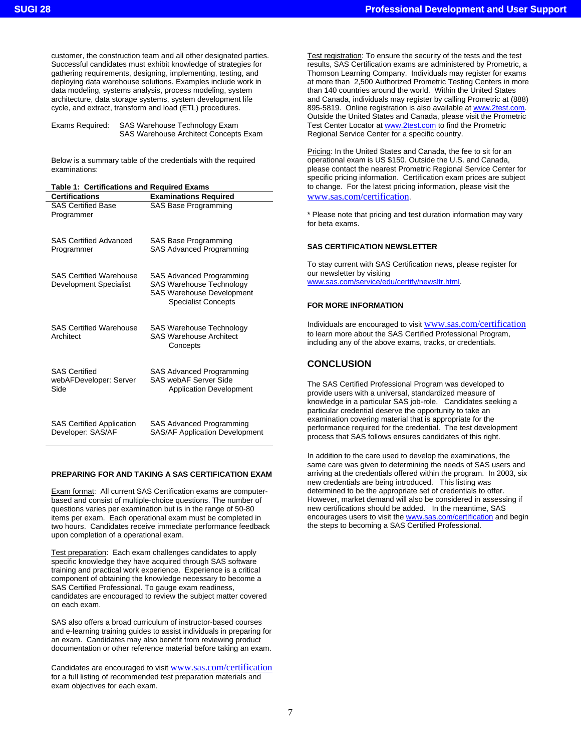customer, the construction team and all other designated parties. Successful candidates must exhibit knowledge of strategies for gathering requirements, designing, implementing, testing, and deploying data warehouse solutions. Examples include work in data modeling, systems analysis, process modeling, system architecture, data storage systems, system development life cycle, and extract, transform and load (ETL) procedures.

Exams Required: SAS Warehouse Technology Exam SAS Warehouse Architect Concepts Exam

Below is a summary table of the credentials with the required examinations:

## **Table 1: Certifications and Required Exams**

| <b>Certifications</b>                                    | <b>Examinations Required</b>                                                                                                  |
|----------------------------------------------------------|-------------------------------------------------------------------------------------------------------------------------------|
| <b>SAS Certified Base</b><br>Programmer                  | SAS Base Programming                                                                                                          |
| <b>SAS Certified Advanced</b><br>Programmer              | SAS Base Programming<br>SAS Advanced Programming                                                                              |
| <b>SAS Certified Warehouse</b><br>Development Specialist | SAS Advanced Programming<br><b>SAS Warehouse Technology</b><br><b>SAS Warehouse Development</b><br><b>Specialist Concepts</b> |
| <b>SAS Certified Warehouse</b><br>Architect              | SAS Warehouse Technology<br><b>SAS Warehouse Architect</b><br>Concepts                                                        |
| <b>SAS Certified</b><br>webAFDeveloper: Server<br>Side   | <b>SAS Advanced Programming</b><br>SAS webAF Server Side<br><b>Application Development</b>                                    |
| <b>SAS Certified Application</b><br>Developer: SAS/AF    | SAS Advanced Programming<br><b>SAS/AF Application Development</b>                                                             |

# **PREPARING FOR AND TAKING A SAS CERTIFICATION EXAM**

Exam format: All current SAS Certification exams are computerbased and consist of multiple-choice questions. The number of questions varies per examination but is in the range of 50-80 items per exam. Each operational exam must be completed in two hours. Candidates receive immediate performance feedback upon completion of a operational exam.

Test preparation: Each exam challenges candidates to apply specific knowledge they have acquired through SAS software training and practical work experience. Experience is a critical component of obtaining the knowledge necessary to become a SAS Certified Professional. To gauge exam readiness, candidates are encouraged to review the subject matter covered on each exam.

SAS also offers a broad curriculum of instructor-based courses and e-learning training guides to assist individuals in preparing for an exam. Candidates may also benefit from reviewing product documentation or other reference material before taking an exam.

Candidates are encouraged to visit www.sas.com/certification for a full listing of recommended test preparation materials and exam objectives for each exam.

Test registration: To ensure the security of the tests and the test results, SAS Certification exams are administered by Prometric, a Thomson Learning Company. Individuals may register for exams at more than 2,500 Authorized Prometric Testing Centers in more than 140 countries around the world. Within the United States and Canada, individuals may register by calling Prometric at (888) 895-5819. Online registration is also available at www.2test.com. Outside the United States and Canada, please visit the Prometric Test Center Locator at www.2test.com to find the Prometric Regional Service Center for a specific country.

Pricing: In the United States and Canada, the fee to sit for an operational exam is US \$150. Outside the U.S. and Canada, please contact the nearest Prometric Regional Service Center for specific pricing information. Certification exam prices are subject to change. For the latest pricing information, please visit the www.sas.com/certification.

\* Please note that pricing and test duration information may vary for beta exams.

## **SAS CERTIFICATION NEWSLETTER**

To stay current with SAS Certification news, please register for our newsletter by visiting www.sas.com/service/edu/certify/newsltr.html.

## **FOR MORE INFORMATION**

Individuals are encouraged to visit www.sas.com/certification to learn more about the SAS Certified Professional Program, including any of the above exams, tracks, or credentials.

# **CONCLUSION**

The SAS Certified Professional Program was developed to provide users with a universal, standardized measure of knowledge in a particular SAS job-role. Candidates seeking a particular credential deserve the opportunity to take an examination covering material that is appropriate for the performance required for the credential. The test development process that SAS follows ensures candidates of this right.

In addition to the care used to develop the examinations, the same care was given to determining the needs of SAS users and arriving at the credentials offered within the program. In 2003, six new credentials are being introduced. This listing was determined to be the appropriate set of credentials to offer. However, market demand will also be considered in assessing if new certifications should be added. In the meantime, SAS encourages users to visit the **www.sas.com/certification** and begin the steps to becoming a SAS Certified Professional.